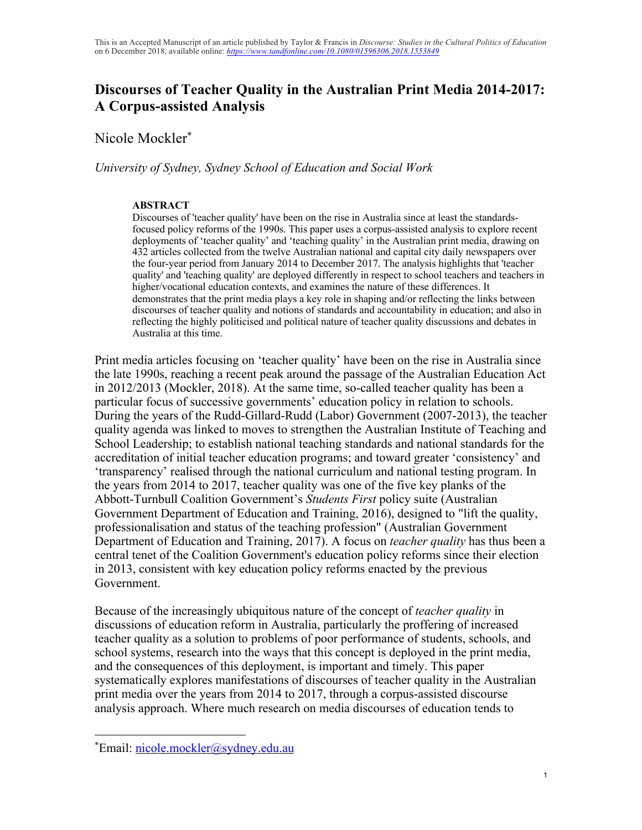# **Discourses of Teacher Quality in the Australian Print Media 2014-2017: A Corpus-assisted Analysis**

Nicole Mockler\*

*University of Sydney, Sydney School of Education and Social Work*

### **ABSTRACT**

Discourses of 'teacher quality' have been on the rise in Australia since at least the standardsfocused policy reforms of the 1990s. This paper uses a corpus-assisted analysis to explore recent deployments of 'teacher quality' and 'teaching quality' in the Australian print media, drawing on 432 articles collected from the twelve Australian national and capital city daily newspapers over the four-year period from January 2014 to December 2017. The analysis highlights that 'teacher quality' and 'teaching quality' are deployed differently in respect to school teachers and teachers in higher/vocational education contexts, and examines the nature of these differences. It demonstrates that the print media plays a key role in shaping and/or reflecting the links between discourses of teacher quality and notions of standards and accountability in education; and also in reflecting the highly politicised and political nature of teacher quality discussions and debates in Australia at this time.

Print media articles focusing on 'teacher quality' have been on the rise in Australia since the late 1990s, reaching a recent peak around the passage of the Australian Education Act in 2012/2013 (Mockler, 2018). At the same time, so-called teacher quality has been a particular focus of successive governments' education policy in relation to schools. During the years of the Rudd-Gillard-Rudd (Labor) Government (2007-2013), the teacher quality agenda was linked to moves to strengthen the Australian Institute of Teaching and School Leadership; to establish national teaching standards and national standards for the accreditation of initial teacher education programs; and toward greater 'consistency' and 'transparency' realised through the national curriculum and national testing program. In the years from 2014 to 2017, teacher quality was one of the five key planks of the Abbott-Turnbull Coalition Government's *Students First* policy suite (Australian Government Department of Education and Training, 2016), designed to "lift the quality, professionalisation and status of the teaching profession" (Australian Government Department of Education and Training, 2017). A focus on *teacher quality* has thus been a central tenet of the Coalition Government's education policy reforms since their election in 2013, consistent with key education policy reforms enacted by the previous Government.

Because of the increasingly ubiquitous nature of the concept of *teacher quality* in discussions of education reform in Australia, particularly the proffering of increased teacher quality as a solution to problems of poor performance of students, schools, and school systems, research into the ways that this concept is deployed in the print media, and the consequences of this deployment, is important and timely. This paper systematically explores manifestations of discourses of teacher quality in the Australian print media over the years from 2014 to 2017, through a corpus-assisted discourse analysis approach. Where much research on media discourses of education tends to

 <sup>\*</sup> *\*Email:* nicole.mockler@sydney.edu.au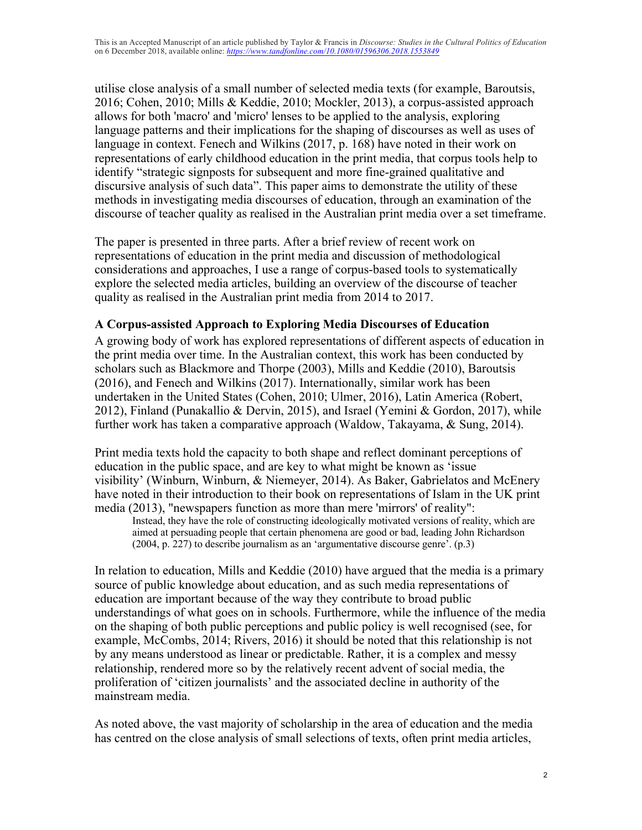utilise close analysis of a small number of selected media texts (for example, Baroutsis, 2016; Cohen, 2010; Mills & Keddie, 2010; Mockler, 2013), a corpus-assisted approach allows for both 'macro' and 'micro' lenses to be applied to the analysis, exploring language patterns and their implications for the shaping of discourses as well as uses of language in context. Fenech and Wilkins (2017, p. 168) have noted in their work on representations of early childhood education in the print media, that corpus tools help to identify "strategic signposts for subsequent and more fine-grained qualitative and discursive analysis of such data". This paper aims to demonstrate the utility of these methods in investigating media discourses of education, through an examination of the discourse of teacher quality as realised in the Australian print media over a set timeframe.

The paper is presented in three parts. After a brief review of recent work on representations of education in the print media and discussion of methodological considerations and approaches, I use a range of corpus-based tools to systematically explore the selected media articles, building an overview of the discourse of teacher quality as realised in the Australian print media from 2014 to 2017.

# **A Corpus-assisted Approach to Exploring Media Discourses of Education**

A growing body of work has explored representations of different aspects of education in the print media over time. In the Australian context, this work has been conducted by scholars such as Blackmore and Thorpe (2003), Mills and Keddie (2010), Baroutsis (2016), and Fenech and Wilkins (2017). Internationally, similar work has been undertaken in the United States (Cohen, 2010; Ulmer, 2016), Latin America (Robert, 2012), Finland (Punakallio & Dervin, 2015), and Israel (Yemini & Gordon, 2017), while further work has taken a comparative approach (Waldow, Takayama, & Sung, 2014).

Print media texts hold the capacity to both shape and reflect dominant perceptions of education in the public space, and are key to what might be known as 'issue visibility' (Winburn, Winburn, & Niemeyer, 2014). As Baker, Gabrielatos and McEnery have noted in their introduction to their book on representations of Islam in the UK print media (2013), "newspapers function as more than mere 'mirrors' of reality":

Instead, they have the role of constructing ideologically motivated versions of reality, which are aimed at persuading people that certain phenomena are good or bad, leading John Richardson (2004, p. 227) to describe journalism as an 'argumentative discourse genre'. (p.3)

In relation to education, Mills and Keddie (2010) have argued that the media is a primary source of public knowledge about education, and as such media representations of education are important because of the way they contribute to broad public understandings of what goes on in schools. Furthermore, while the influence of the media on the shaping of both public perceptions and public policy is well recognised (see, for example, McCombs, 2014; Rivers, 2016) it should be noted that this relationship is not by any means understood as linear or predictable. Rather, it is a complex and messy relationship, rendered more so by the relatively recent advent of social media, the proliferation of 'citizen journalists' and the associated decline in authority of the mainstream media.

As noted above, the vast majority of scholarship in the area of education and the media has centred on the close analysis of small selections of texts, often print media articles,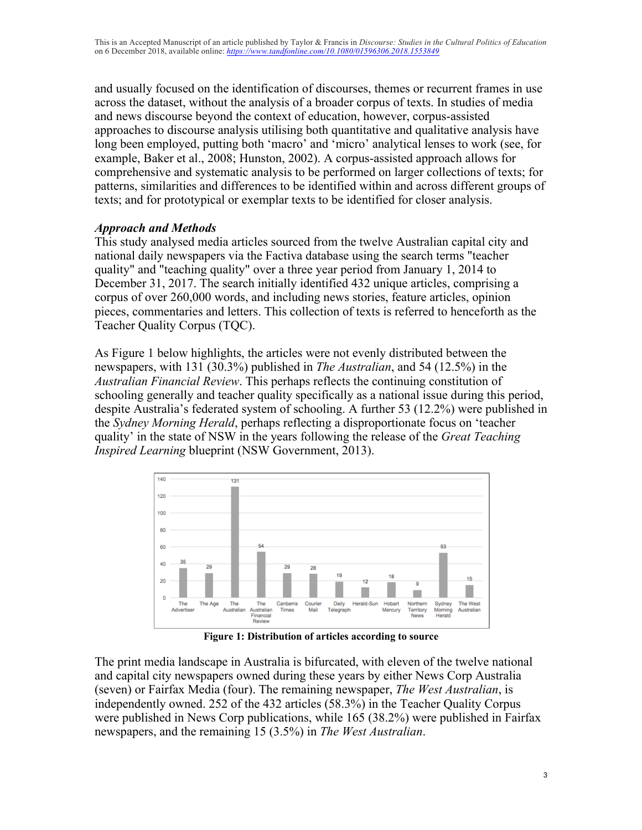and usually focused on the identification of discourses, themes or recurrent frames in use across the dataset, without the analysis of a broader corpus of texts. In studies of media and news discourse beyond the context of education, however, corpus-assisted approaches to discourse analysis utilising both quantitative and qualitative analysis have long been employed, putting both 'macro' and 'micro' analytical lenses to work (see, for example, Baker et al., 2008; Hunston, 2002). A corpus-assisted approach allows for comprehensive and systematic analysis to be performed on larger collections of texts; for patterns, similarities and differences to be identified within and across different groups of texts; and for prototypical or exemplar texts to be identified for closer analysis.

# *Approach and Methods*

This study analysed media articles sourced from the twelve Australian capital city and national daily newspapers via the Factiva database using the search terms "teacher quality" and "teaching quality" over a three year period from January 1, 2014 to December 31, 2017. The search initially identified 432 unique articles, comprising a corpus of over 260,000 words, and including news stories, feature articles, opinion pieces, commentaries and letters. This collection of texts is referred to henceforth as the Teacher Quality Corpus (TQC).

As Figure 1 below highlights, the articles were not evenly distributed between the newspapers, with 131 (30.3%) published in *The Australian*, and 54 (12.5%) in the *Australian Financial Review*. This perhaps reflects the continuing constitution of schooling generally and teacher quality specifically as a national issue during this period, despite Australia's federated system of schooling. A further 53 (12.2%) were published in the *Sydney Morning Herald*, perhaps reflecting a disproportionate focus on 'teacher quality' in the state of NSW in the years following the release of the *Great Teaching Inspired Learning* blueprint (NSW Government, 2013).



**Figure 1: Distribution of articles according to source**

The print media landscape in Australia is bifurcated, with eleven of the twelve national and capital city newspapers owned during these years by either News Corp Australia (seven) or Fairfax Media (four). The remaining newspaper, *The West Australian*, is independently owned. 252 of the 432 articles (58.3%) in the Teacher Quality Corpus were published in News Corp publications, while 165 (38.2%) were published in Fairfax newspapers, and the remaining 15 (3.5%) in *The West Australian*.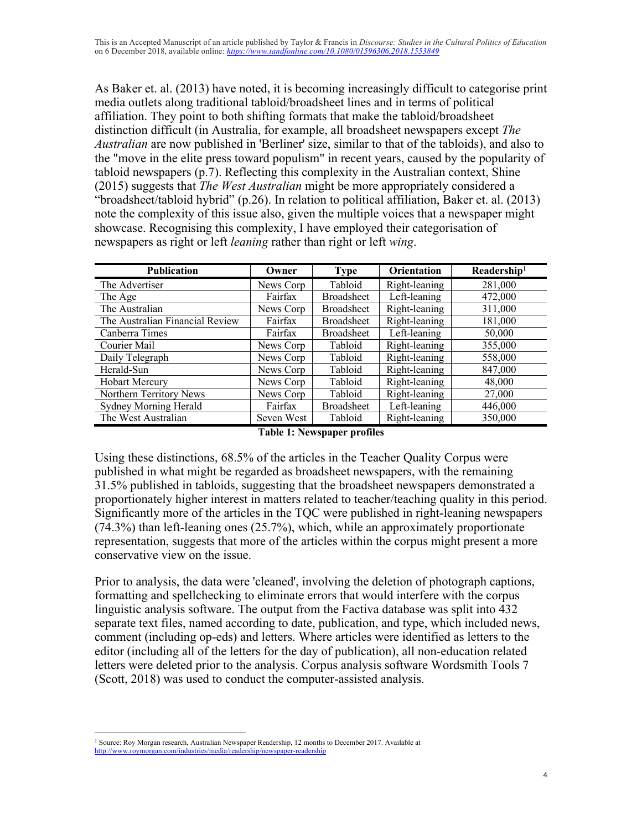As Baker et. al. (2013) have noted, it is becoming increasingly difficult to categorise print media outlets along traditional tabloid/broadsheet lines and in terms of political affiliation. They point to both shifting formats that make the tabloid/broadsheet distinction difficult (in Australia, for example, all broadsheet newspapers except *The Australian* are now published in 'Berliner' size, similar to that of the tabloids), and also to the "move in the elite press toward populism" in recent years, caused by the popularity of tabloid newspapers (p.7). Reflecting this complexity in the Australian context, Shine (2015) suggests that *The West Australian* might be more appropriately considered a "broadsheet/tabloid hybrid" (p.26). In relation to political affiliation, Baker et. al. (2013) note the complexity of this issue also, given the multiple voices that a newspaper might showcase. Recognising this complexity, I have employed their categorisation of newspapers as right or left *leaning* rather than right or left *wing*.

| <b>Publication</b>              | Owner      | <b>Type</b>       | <b>Orientation</b> | Readership <sup>1</sup> |
|---------------------------------|------------|-------------------|--------------------|-------------------------|
| The Advertiser                  | News Corp  | Tabloid           | Right-leaning      | 281,000                 |
| The Age                         | Fairfax    | <b>Broadsheet</b> | Left-leaning       | 472,000                 |
| The Australian                  | News Corp  | Broadsheet        | Right-leaning      | 311,000                 |
| The Australian Financial Review | Fairfax    | Broadsheet        | Right-leaning      | 181,000                 |
| Canberra Times                  | Fairfax    | <b>Broadsheet</b> | Left-leaning       | 50,000                  |
| Courier Mail                    | News Corp  | Tabloid           | Right-leaning      | 355,000                 |
| Daily Telegraph                 | News Corp  | Tabloid           | Right-leaning      | 558,000                 |
| Herald-Sun                      | News Corp  | Tabloid           | Right-leaning      | 847,000                 |
| <b>Hobart Mercury</b>           | News Corp  | Tabloid           | Right-leaning      | 48,000                  |
| Northern Territory News         | News Corp  | Tabloid           | Right-leaning      | 27,000                  |
| Sydney Morning Herald           | Fairfax    | <b>Broadsheet</b> | Left-leaning       | 446,000                 |
| The West Australian             | Seven West | Tabloid           | Right-leaning      | 350,000                 |

**Table 1: Newspaper profiles**

Using these distinctions, 68.5% of the articles in the Teacher Quality Corpus were published in what might be regarded as broadsheet newspapers, with the remaining 31.5% published in tabloids, suggesting that the broadsheet newspapers demonstrated a proportionately higher interest in matters related to teacher/teaching quality in this period. Significantly more of the articles in the TQC were published in right-leaning newspapers (74.3%) than left-leaning ones (25.7%), which, while an approximately proportionate representation, suggests that more of the articles within the corpus might present a more conservative view on the issue.

Prior to analysis, the data were 'cleaned', involving the deletion of photograph captions, formatting and spellchecking to eliminate errors that would interfere with the corpus linguistic analysis software. The output from the Factiva database was split into 432 separate text files, named according to date, publication, and type, which included news, comment (including op-eds) and letters. Where articles were identified as letters to the editor (including all of the letters for the day of publication), all non-education related letters were deleted prior to the analysis. Corpus analysis software Wordsmith Tools 7 (Scott, 2018) was used to conduct the computer-assisted analysis.

<sup>&</sup>lt;sup>1</sup> Source: Roy Morgan research, Australian Newspaper Readership, 12 months to December 2017. Available at http://www.roymorgan.com/industries/media/readership/newspaper-readership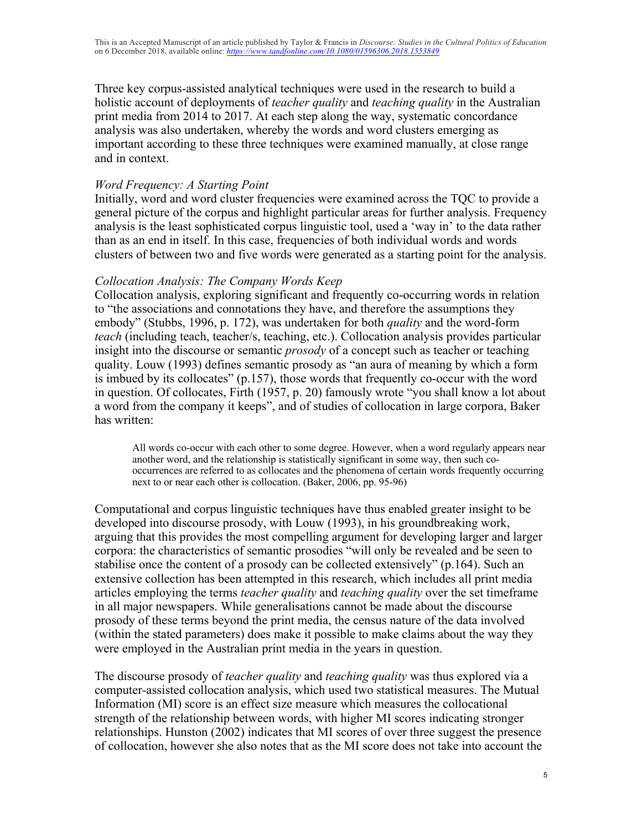Three key corpus-assisted analytical techniques were used in the research to build a holistic account of deployments of *teacher quality* and *teaching quality* in the Australian print media from 2014 to 2017. At each step along the way, systematic concordance analysis was also undertaken, whereby the words and word clusters emerging as important according to these three techniques were examined manually, at close range and in context.

# *Word Frequency: A Starting Point*

Initially, word and word cluster frequencies were examined across the TQC to provide a general picture of the corpus and highlight particular areas for further analysis. Frequency analysis is the least sophisticated corpus linguistic tool, used a 'way in' to the data rather than as an end in itself. In this case, frequencies of both individual words and words clusters of between two and five words were generated as a starting point for the analysis.

### *Collocation Analysis: The Company Words Keep*

Collocation analysis, exploring significant and frequently co-occurring words in relation to "the associations and connotations they have, and therefore the assumptions they embody" (Stubbs, 1996, p. 172), was undertaken for both *quality* and the word-form *teach* (including teach, teacher/s, teaching, etc.). Collocation analysis provides particular insight into the discourse or semantic *prosody* of a concept such as teacher or teaching quality. Louw (1993) defines semantic prosody as "an aura of meaning by which a form is imbued by its collocates" (p.157), those words that frequently co-occur with the word in question. Of collocates, Firth (1957, p. 20) famously wrote "you shall know a lot about a word from the company it keeps", and of studies of collocation in large corpora, Baker has written:

All words co-occur with each other to some degree. However, when a word regularly appears near another word, and the relationship is statistically significant in some way, then such cooccurrences are referred to as collocates and the phenomena of certain words frequently occurring next to or near each other is collocation. (Baker, 2006, pp. 95-96)

Computational and corpus linguistic techniques have thus enabled greater insight to be developed into discourse prosody, with Louw (1993), in his groundbreaking work, arguing that this provides the most compelling argument for developing larger and larger corpora: the characteristics of semantic prosodies "will only be revealed and be seen to stabilise once the content of a prosody can be collected extensively" (p.164). Such an extensive collection has been attempted in this research, which includes all print media articles employing the terms *teacher quality* and *teaching quality* over the set timeframe in all major newspapers. While generalisations cannot be made about the discourse prosody of these terms beyond the print media, the census nature of the data involved (within the stated parameters) does make it possible to make claims about the way they were employed in the Australian print media in the years in question.

The discourse prosody of *teacher quality* and *teaching quality* was thus explored via a computer-assisted collocation analysis, which used two statistical measures. The Mutual Information (MI) score is an effect size measure which measures the collocational strength of the relationship between words, with higher MI scores indicating stronger relationships. Hunston (2002) indicates that MI scores of over three suggest the presence of collocation, however she also notes that as the MI score does not take into account the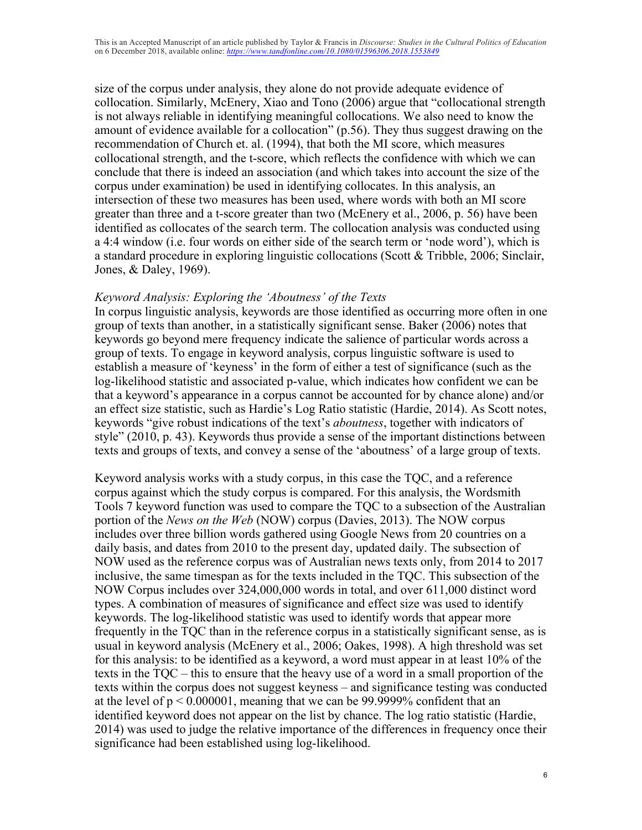size of the corpus under analysis, they alone do not provide adequate evidence of collocation. Similarly, McEnery, Xiao and Tono (2006) argue that "collocational strength is not always reliable in identifying meaningful collocations. We also need to know the amount of evidence available for a collocation" (p.56). They thus suggest drawing on the recommendation of Church et. al. (1994), that both the MI score, which measures collocational strength, and the t-score, which reflects the confidence with which we can conclude that there is indeed an association (and which takes into account the size of the corpus under examination) be used in identifying collocates. In this analysis, an intersection of these two measures has been used, where words with both an MI score greater than three and a t-score greater than two (McEnery et al., 2006, p. 56) have been identified as collocates of the search term. The collocation analysis was conducted using a 4:4 window (i.e. four words on either side of the search term or 'node word'), which is a standard procedure in exploring linguistic collocations (Scott & Tribble, 2006; Sinclair, Jones, & Daley, 1969).

### *Keyword Analysis: Exploring the 'Aboutness' of the Texts*

In corpus linguistic analysis, keywords are those identified as occurring more often in one group of texts than another, in a statistically significant sense. Baker (2006) notes that keywords go beyond mere frequency indicate the salience of particular words across a group of texts. To engage in keyword analysis, corpus linguistic software is used to establish a measure of 'keyness' in the form of either a test of significance (such as the log-likelihood statistic and associated p-value, which indicates how confident we can be that a keyword's appearance in a corpus cannot be accounted for by chance alone) and/or an effect size statistic, such as Hardie's Log Ratio statistic (Hardie, 2014). As Scott notes, keywords "give robust indications of the text's *aboutness*, together with indicators of style" (2010, p. 43). Keywords thus provide a sense of the important distinctions between texts and groups of texts, and convey a sense of the 'aboutness' of a large group of texts.

Keyword analysis works with a study corpus, in this case the TQC, and a reference corpus against which the study corpus is compared. For this analysis, the Wordsmith Tools 7 keyword function was used to compare the TQC to a subsection of the Australian portion of the *News on the Web* (NOW) corpus (Davies, 2013). The NOW corpus includes over three billion words gathered using Google News from 20 countries on a daily basis, and dates from 2010 to the present day, updated daily. The subsection of NOW used as the reference corpus was of Australian news texts only, from 2014 to 2017 inclusive, the same timespan as for the texts included in the TQC. This subsection of the NOW Corpus includes over 324,000,000 words in total, and over 611,000 distinct word types. A combination of measures of significance and effect size was used to identify keywords. The log-likelihood statistic was used to identify words that appear more frequently in the TQC than in the reference corpus in a statistically significant sense, as is usual in keyword analysis (McEnery et al., 2006; Oakes, 1998). A high threshold was set for this analysis: to be identified as a keyword, a word must appear in at least 10% of the texts in the TQC – this to ensure that the heavy use of a word in a small proportion of the texts within the corpus does not suggest keyness – and significance testing was conducted at the level of  $p < 0.000001$ , meaning that we can be 99.9999% confident that an identified keyword does not appear on the list by chance. The log ratio statistic (Hardie, 2014) was used to judge the relative importance of the differences in frequency once their significance had been established using log-likelihood.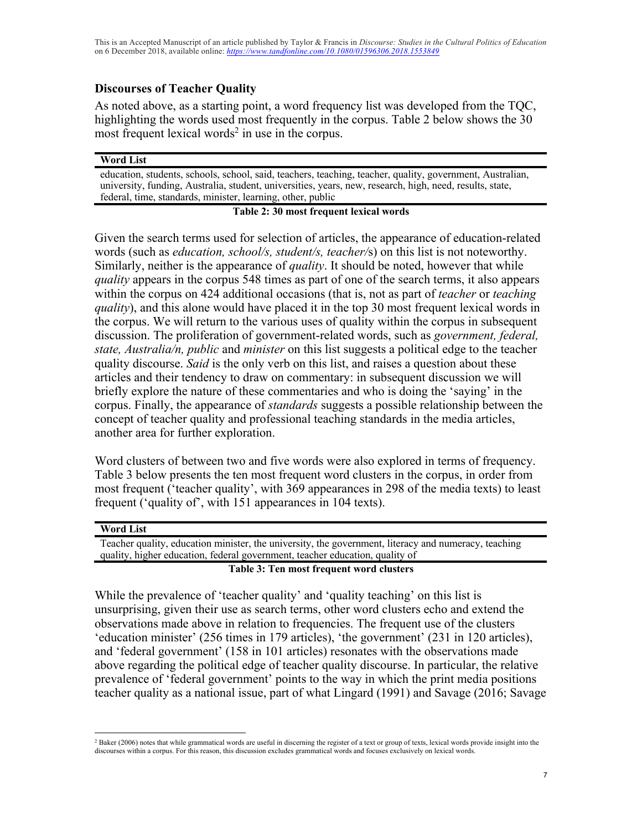# **Discourses of Teacher Quality**

As noted above, as a starting point, a word frequency list was developed from the TQC, highlighting the words used most frequently in the corpus. Table 2 below shows the 30 most frequent lexical words<sup>2</sup> in use in the corpus.

#### **Word List**

education, students, schools, school, said, teachers, teaching, teacher, quality, government, Australian, university, funding, Australia, student, universities, years, new, research, high, need, results, state, federal, time, standards, minister, learning, other, public

#### **Table 2: 30 most frequent lexical words**

Given the search terms used for selection of articles, the appearance of education-related words (such as *education, school/s, student/s, teacher/*s) on this list is not noteworthy. Similarly, neither is the appearance of *quality*. It should be noted, however that while *quality* appears in the corpus 548 times as part of one of the search terms, it also appears within the corpus on 424 additional occasions (that is, not as part of *teacher* or *teaching quality*), and this alone would have placed it in the top 30 most frequent lexical words in the corpus. We will return to the various uses of quality within the corpus in subsequent discussion. The proliferation of government-related words, such as *government, federal, state, Australia/n, public* and *minister* on this list suggests a political edge to the teacher quality discourse. *Said* is the only verb on this list, and raises a question about these articles and their tendency to draw on commentary: in subsequent discussion we will briefly explore the nature of these commentaries and who is doing the 'saying' in the corpus. Finally, the appearance of *standards* suggests a possible relationship between the concept of teacher quality and professional teaching standards in the media articles, another area for further exploration.

Word clusters of between two and five words were also explored in terms of frequency. Table 3 below presents the ten most frequent word clusters in the corpus, in order from most frequent ('teacher quality', with 369 appearances in 298 of the media texts) to least frequent ('quality of', with 151 appearances in 104 texts).

#### **Word List**

Teacher quality, education minister, the university, the government, literacy and numeracy, teaching quality, higher education, federal government, teacher education, quality of

#### **Table 3: Ten most frequent word clusters**

While the prevalence of 'teacher quality' and 'quality teaching' on this list is unsurprising, given their use as search terms, other word clusters echo and extend the observations made above in relation to frequencies. The frequent use of the clusters 'education minister' (256 times in 179 articles), 'the government' (231 in 120 articles), and 'federal government' (158 in 101 articles) resonates with the observations made above regarding the political edge of teacher quality discourse. In particular, the relative prevalence of 'federal government' points to the way in which the print media positions teacher quality as a national issue, part of what Lingard (1991) and Savage (2016; Savage

<sup>&</sup>lt;sup>2</sup> Baker (2006) notes that while grammatical words are useful in discerning the register of a text or group of texts, lexical words provide insight into the discourses within a corpus. For this reason, this discussion excludes grammatical words and focuses exclusively on lexical words.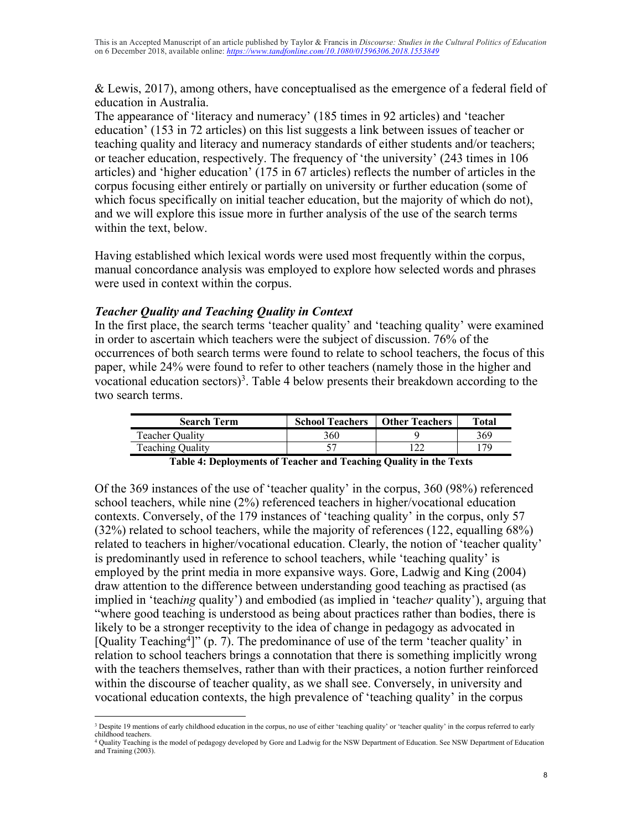& Lewis, 2017), among others, have conceptualised as the emergence of a federal field of education in Australia.

The appearance of 'literacy and numeracy' (185 times in 92 articles) and 'teacher education' (153 in 72 articles) on this list suggests a link between issues of teacher or teaching quality and literacy and numeracy standards of either students and/or teachers; or teacher education, respectively. The frequency of 'the university' (243 times in 106 articles) and 'higher education' (175 in 67 articles) reflects the number of articles in the corpus focusing either entirely or partially on university or further education (some of which focus specifically on initial teacher education, but the majority of which do not), and we will explore this issue more in further analysis of the use of the search terms within the text, below.

Having established which lexical words were used most frequently within the corpus, manual concordance analysis was employed to explore how selected words and phrases were used in context within the corpus.

## *Teacher Quality and Teaching Quality in Context*

In the first place, the search terms 'teacher quality' and 'teaching quality' were examined in order to ascertain which teachers were the subject of discussion. 76% of the occurrences of both search terms were found to relate to school teachers, the focus of this paper, while 24% were found to refer to other teachers (namely those in the higher and vocational education sectors)<sup>3</sup>. Table 4 below presents their breakdown according to the two search terms.

| <b>Search Term</b>      | <b>School Teachers</b> | <b>Other Teachers</b> | Total |
|-------------------------|------------------------|-----------------------|-------|
| Teacher Ouality         | 360                    |                       | 369   |
| <b>Teaching Quality</b> |                        |                       | 79    |

**Table 4: Deployments of Teacher and Teaching Quality in the Texts**

Of the 369 instances of the use of 'teacher quality' in the corpus, 360 (98%) referenced school teachers, while nine (2%) referenced teachers in higher/vocational education contexts. Conversely, of the 179 instances of 'teaching quality' in the corpus, only 57 (32%) related to school teachers, while the majority of references (122, equalling 68%) related to teachers in higher/vocational education. Clearly, the notion of 'teacher quality' is predominantly used in reference to school teachers, while 'teaching quality' is employed by the print media in more expansive ways. Gore, Ladwig and King (2004) draw attention to the difference between understanding good teaching as practised (as implied in 'teach*ing* quality') and embodied (as implied in 'teach*er* quality'), arguing that "where good teaching is understood as being about practices rather than bodies, there is likely to be a stronger receptivity to the idea of change in pedagogy as advocated in [Quality Teaching4]" (p. 7). The predominance of use of the term 'teacher quality' in relation to school teachers brings a connotation that there is something implicitly wrong with the teachers themselves, rather than with their practices, a notion further reinforced within the discourse of teacher quality, as we shall see. Conversely, in university and vocational education contexts, the high prevalence of 'teaching quality' in the corpus

<sup>&</sup>lt;sup>3</sup> Despite 19 mentions of early childhood education in the corpus, no use of either 'teaching quality' or 'teacher quality' in the corpus referred to early childhood teachers.<br><sup>4</sup> Quality Teaching is the model of pedagogy developed by Gore and Ladwig for the NSW Department of Education. See NSW Department of Education

and Training (2003).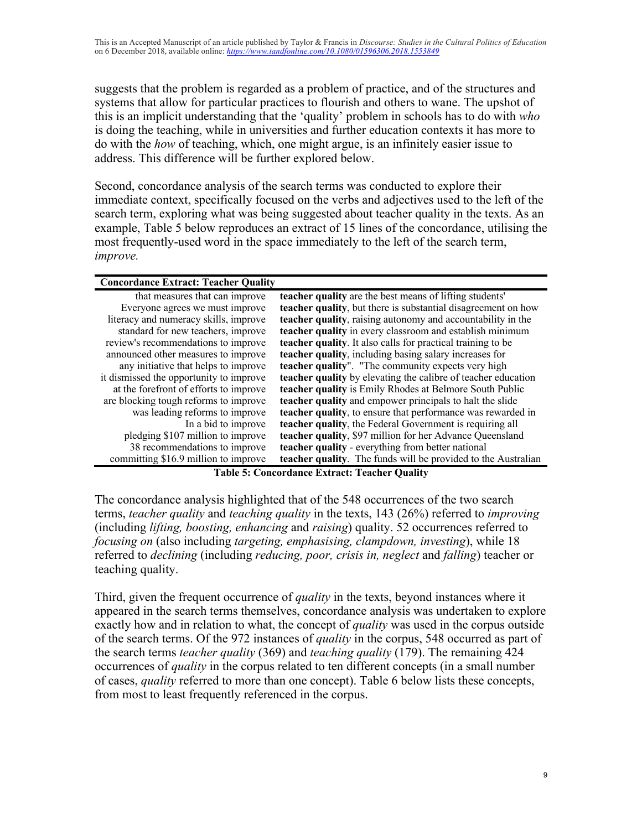suggests that the problem is regarded as a problem of practice, and of the structures and systems that allow for particular practices to flourish and others to wane. The upshot of this is an implicit understanding that the 'quality' problem in schools has to do with *who* is doing the teaching, while in universities and further education contexts it has more to do with the *how* of teaching, which, one might argue, is an infinitely easier issue to address. This difference will be further explored below.

Second, concordance analysis of the search terms was conducted to explore their immediate context, specifically focused on the verbs and adjectives used to the left of the search term, exploring what was being suggested about teacher quality in the texts. As an example, Table 5 below reproduces an extract of 15 lines of the concordance, utilising the most frequently-used word in the space immediately to the left of the search term, *improve.*

| <b>Concordance Extract: Teacher Quality</b> |
|---------------------------------------------|
|---------------------------------------------|

| that measures that can improve          | teacher quality are the best means of lifting students'       |
|-----------------------------------------|---------------------------------------------------------------|
| Everyone agrees we must improve         | teacher quality, but there is substantial disagreement on how |
| literacy and numeracy skills, improve   | teacher quality, raising autonomy and accountability in the   |
| standard for new teachers, improve      | teacher quality in every classroom and establish minimum      |
| review's recommendations to improve     | teacher quality. It also calls for practical training to be   |
| announced other measures to improve     | teacher quality, including basing salary increases for        |
| any initiative that helps to improve    | teacher quality". "The community expects very high            |
| it dismissed the opportunity to improve | teacher quality by elevating the calibre of teacher education |
| at the forefront of efforts to improve  | teacher quality is Emily Rhodes at Belmore South Public       |
| are blocking tough reforms to improve   | teacher quality and empower principals to halt the slide      |
| was leading reforms to improve          | teacher quality, to ensure that performance was rewarded in   |
| In a bid to improve                     | teacher quality, the Federal Government is requiring all      |
| pledging \$107 million to improve       | teacher quality, \$97 million for her Advance Queensland      |
| 38 recommendations to improve           | teacher quality - everything from better national             |
| committing \$16.9 million to improve    | teacher quality. The funds will be provided to the Australian |

**Table 5: Concordance Extract: Teacher Quality**

The concordance analysis highlighted that of the 548 occurrences of the two search terms, *teacher quality* and *teaching quality* in the texts, 143 (26%) referred to *improving* (including *lifting, boosting, enhancing* and *raising*) quality. 52 occurrences referred to *focusing on* (also including *targeting, emphasising, clampdown, investing*), while 18 referred to *declining* (including *reducing, poor, crisis in, neglect* and *falling*) teacher or teaching quality.

Third, given the frequent occurrence of *quality* in the texts, beyond instances where it appeared in the search terms themselves, concordance analysis was undertaken to explore exactly how and in relation to what, the concept of *quality* was used in the corpus outside of the search terms. Of the 972 instances of *quality* in the corpus, 548 occurred as part of the search terms *teacher quality* (369) and *teaching quality* (179). The remaining 424 occurrences of *quality* in the corpus related to ten different concepts (in a small number of cases, *quality* referred to more than one concept). Table 6 below lists these concepts, from most to least frequently referenced in the corpus.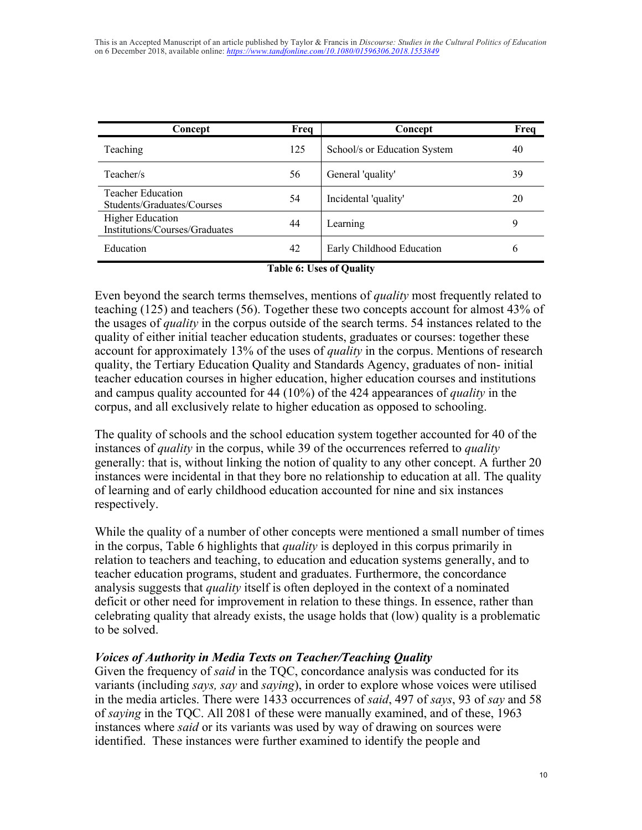| Concept                                                   | Freq | Concept                      | Freq |
|-----------------------------------------------------------|------|------------------------------|------|
| Teaching                                                  | 125  | School/s or Education System | 40   |
| Teacher/s                                                 | 56   | General 'quality'            | 39   |
| <b>Teacher Education</b><br>Students/Graduates/Courses    | 54   | Incidental 'quality'         | 20   |
| <b>Higher Education</b><br>Institutions/Courses/Graduates | 44   | Learning                     | 9    |
| Education                                                 | 42   | Early Childhood Education    | 6    |

#### **Table 6: Uses of Quality**

Even beyond the search terms themselves, mentions of *quality* most frequently related to teaching (125) and teachers (56). Together these two concepts account for almost 43% of the usages of *quality* in the corpus outside of the search terms. 54 instances related to the quality of either initial teacher education students, graduates or courses: together these account for approximately 13% of the uses of *quality* in the corpus. Mentions of research quality, the Tertiary Education Quality and Standards Agency, graduates of non- initial teacher education courses in higher education, higher education courses and institutions and campus quality accounted for 44 (10%) of the 424 appearances of *quality* in the corpus, and all exclusively relate to higher education as opposed to schooling.

The quality of schools and the school education system together accounted for 40 of the instances of *quality* in the corpus, while 39 of the occurrences referred to *quality* generally: that is, without linking the notion of quality to any other concept. A further 20 instances were incidental in that they bore no relationship to education at all. The quality of learning and of early childhood education accounted for nine and six instances respectively.

While the quality of a number of other concepts were mentioned a small number of times in the corpus, Table 6 highlights that *quality* is deployed in this corpus primarily in relation to teachers and teaching, to education and education systems generally, and to teacher education programs, student and graduates. Furthermore, the concordance analysis suggests that *quality* itself is often deployed in the context of a nominated deficit or other need for improvement in relation to these things. In essence, rather than celebrating quality that already exists, the usage holds that (low) quality is a problematic to be solved.

### *Voices of Authority in Media Texts on Teacher/Teaching Quality*

Given the frequency of *said* in the TQC, concordance analysis was conducted for its variants (including *says, say* and *saying*), in order to explore whose voices were utilised in the media articles. There were 1433 occurrences of *said*, 497 of *says*, 93 of *say* and 58 of *saying* in the TQC. All 2081 of these were manually examined, and of these, 1963 instances where *said* or its variants was used by way of drawing on sources were identified. These instances were further examined to identify the people and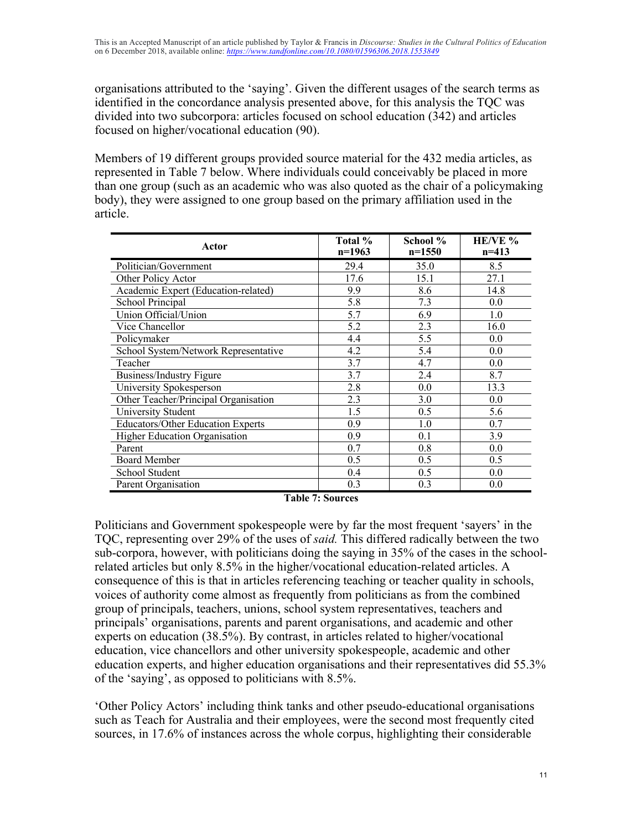organisations attributed to the 'saying'. Given the different usages of the search terms as identified in the concordance analysis presented above, for this analysis the TQC was divided into two subcorpora: articles focused on school education (342) and articles focused on higher/vocational education (90).

Members of 19 different groups provided source material for the 432 media articles, as represented in Table 7 below. Where individuals could conceivably be placed in more than one group (such as an academic who was also quoted as the chair of a policymaking body), they were assigned to one group based on the primary affiliation used in the article.

| Actor                                    | Total %<br>$n=1963$ | School %<br>$n=1550$ | HE/VE $%$<br>$n=413$ |
|------------------------------------------|---------------------|----------------------|----------------------|
| Politician/Government                    | 29.4                | 35.0                 | 8.5                  |
| Other Policy Actor                       | 17.6                | 15.1                 | 27.1                 |
| Academic Expert (Education-related)      | 9.9                 | 8.6                  | 14.8                 |
| School Principal                         | 5.8                 | 7.3                  | 0.0                  |
| Union Official/Union                     | 5.7                 | 6.9                  | 1.0                  |
| Vice Chancellor                          | 5.2                 | 2.3                  | 16.0                 |
| Policymaker                              | 4.4                 | 5.5                  | 0.0                  |
| School System/Network Representative     | 4.2                 | 5.4                  | 0.0                  |
| Teacher                                  | 3.7                 | 4.7                  | 0.0                  |
| Business/Industry Figure                 | 3.7                 | 2.4                  | 8.7                  |
| University Spokesperson                  | 2.8                 | 0.0                  | 13.3                 |
| Other Teacher/Principal Organisation     | 2.3                 | 3.0                  | 0.0                  |
| University Student                       | 1.5                 | 0.5                  | 5.6                  |
| <b>Educators/Other Education Experts</b> | 0.9                 | 1.0                  | 0.7                  |
| <b>Higher Education Organisation</b>     | 0.9                 | 0.1                  | 3.9                  |
| Parent                                   | 0.7                 | 0.8                  | 0.0                  |
| <b>Board Member</b>                      | 0.5                 | 0.5                  | 0.5                  |
| School Student                           | 0.4                 | 0.5                  | 0.0                  |
| Parent Organisation                      | 0.3                 | 0.3                  | 0.0                  |

#### **Table 7: Sources**

Politicians and Government spokespeople were by far the most frequent 'sayers' in the TQC, representing over 29% of the uses of *said.* This differed radically between the two sub-corpora, however, with politicians doing the saying in 35% of the cases in the schoolrelated articles but only 8.5% in the higher/vocational education-related articles. A consequence of this is that in articles referencing teaching or teacher quality in schools, voices of authority come almost as frequently from politicians as from the combined group of principals, teachers, unions, school system representatives, teachers and principals' organisations, parents and parent organisations, and academic and other experts on education (38.5%). By contrast, in articles related to higher/vocational education, vice chancellors and other university spokespeople, academic and other education experts, and higher education organisations and their representatives did 55.3% of the 'saying', as opposed to politicians with 8.5%.

'Other Policy Actors' including think tanks and other pseudo-educational organisations such as Teach for Australia and their employees, were the second most frequently cited sources, in 17.6% of instances across the whole corpus, highlighting their considerable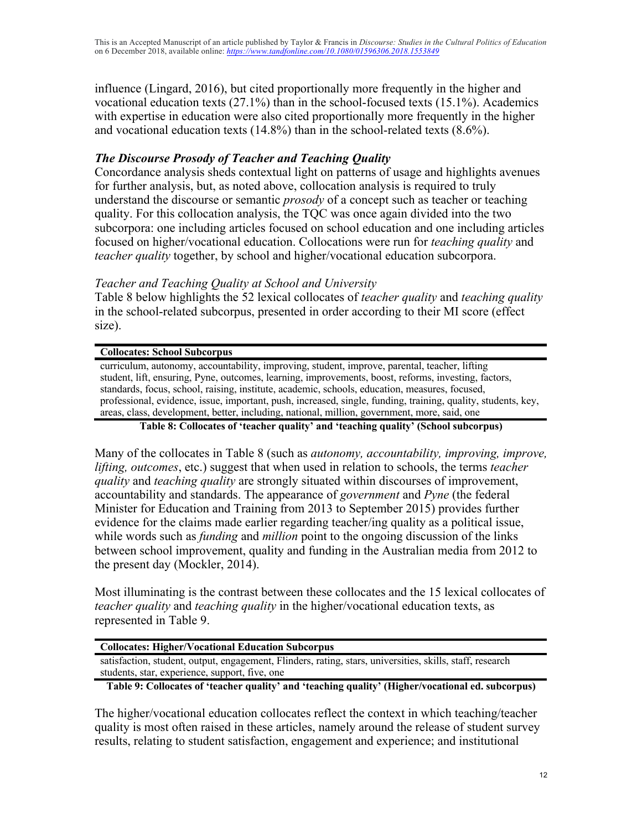influence (Lingard, 2016), but cited proportionally more frequently in the higher and vocational education texts (27.1%) than in the school-focused texts (15.1%). Academics with expertise in education were also cited proportionally more frequently in the higher and vocational education texts (14.8%) than in the school-related texts (8.6%).

# *The Discourse Prosody of Teacher and Teaching Quality*

Concordance analysis sheds contextual light on patterns of usage and highlights avenues for further analysis, but, as noted above, collocation analysis is required to truly understand the discourse or semantic *prosody* of a concept such as teacher or teaching quality. For this collocation analysis, the TQC was once again divided into the two subcorpora: one including articles focused on school education and one including articles focused on higher/vocational education. Collocations were run for *teaching quality* and *teacher quality* together, by school and higher/vocational education subcorpora.

# *Teacher and Teaching Quality at School and University*

Table 8 below highlights the 52 lexical collocates of *teacher quality* and *teaching quality* in the school-related subcorpus, presented in order according to their MI score (effect size).

### **Collocates: School Subcorpus**

curriculum, autonomy, accountability, improving, student, improve, parental, teacher, lifting student, lift, ensuring, Pyne, outcomes, learning, improvements, boost, reforms, investing, factors, standards, focus, school, raising, institute, academic, schools, education, measures, focused, professional, evidence, issue, important, push, increased, single, funding, training, quality, students, key, areas, class, development, better, including, national, million, government, more, said, one

### **Table 8: Collocates of 'teacher quality' and 'teaching quality' (School subcorpus)**

Many of the collocates in Table 8 (such as *autonomy, accountability, improving, improve, lifting, outcomes*, etc.) suggest that when used in relation to schools, the terms *teacher quality* and *teaching quality* are strongly situated within discourses of improvement, accountability and standards. The appearance of *government* and *Pyne* (the federal Minister for Education and Training from 2013 to September 2015) provides further evidence for the claims made earlier regarding teacher/ing quality as a political issue, while words such as *funding* and *million* point to the ongoing discussion of the links between school improvement, quality and funding in the Australian media from 2012 to the present day (Mockler, 2014).

Most illuminating is the contrast between these collocates and the 15 lexical collocates of *teacher quality* and *teaching quality* in the higher/vocational education texts, as represented in Table 9.

| <b>Collocates: Higher/Vocational Education Subcorpus</b>                                                  |
|-----------------------------------------------------------------------------------------------------------|
| satisfaction, student, output, engagement, Flinders, rating, stars, universities, skills, staff, research |
| students, star, experience, support, five, one                                                            |
| Toble 0. Collegates of itsechan quality' and itseching quality' (Higher vegetional ed subcounse)          |

**Table 9: Collocates of 'teacher quality' and 'teaching quality' (Higher/vocational ed. subcorpus)**

The higher/vocational education collocates reflect the context in which teaching/teacher quality is most often raised in these articles, namely around the release of student survey results, relating to student satisfaction, engagement and experience; and institutional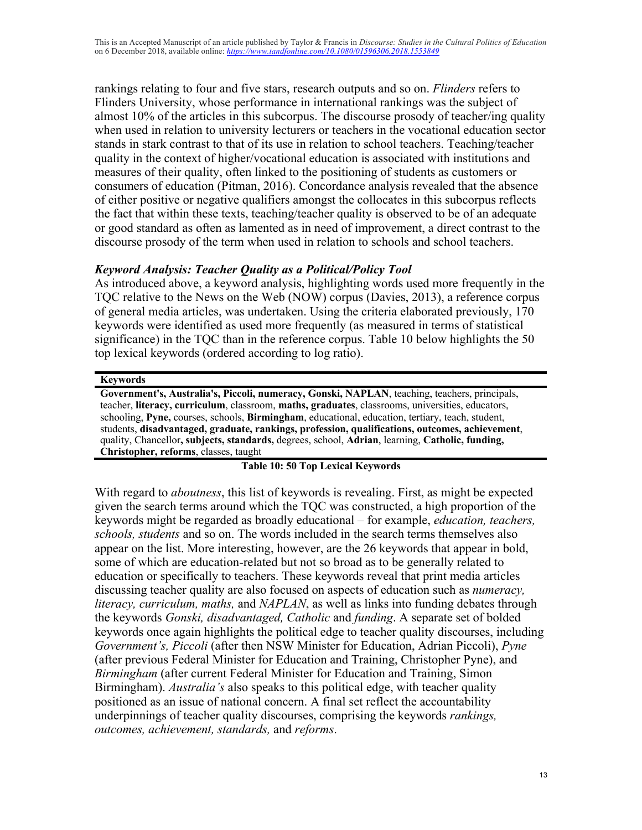rankings relating to four and five stars, research outputs and so on. *Flinders* refers to Flinders University, whose performance in international rankings was the subject of almost 10% of the articles in this subcorpus. The discourse prosody of teacher/ing quality when used in relation to university lecturers or teachers in the vocational education sector stands in stark contrast to that of its use in relation to school teachers. Teaching/teacher quality in the context of higher/vocational education is associated with institutions and measures of their quality, often linked to the positioning of students as customers or consumers of education (Pitman, 2016). Concordance analysis revealed that the absence of either positive or negative qualifiers amongst the collocates in this subcorpus reflects the fact that within these texts, teaching/teacher quality is observed to be of an adequate or good standard as often as lamented as in need of improvement, a direct contrast to the discourse prosody of the term when used in relation to schools and school teachers.

# *Keyword Analysis: Teacher Quality as a Political/Policy Tool*

As introduced above, a keyword analysis, highlighting words used more frequently in the TQC relative to the News on the Web (NOW) corpus (Davies, 2013), a reference corpus of general media articles, was undertaken. Using the criteria elaborated previously, 170 keywords were identified as used more frequently (as measured in terms of statistical significance) in the TQC than in the reference corpus. Table 10 below highlights the 50 top lexical keywords (ordered according to log ratio).

### **Keywords**

**Government's, Australia's, Piccoli, numeracy, Gonski, NAPLAN**, teaching, teachers, principals, teacher, **literacy, curriculum**, classroom, **maths, graduates**, classrooms, universities, educators, schooling, **Pyne,** courses, schools, **Birmingham**, educational, education, tertiary, teach, student, students, **disadvantaged, graduate, rankings, profession, qualifications, outcomes, achievement**, quality, Chancellor**, subjects, standards,** degrees, school, **Adrian**, learning, **Catholic, funding, Christopher, reforms**, classes, taught

### **Table 10: 50 Top Lexical Keywords**

With regard to *aboutness*, this list of keywords is revealing. First, as might be expected given the search terms around which the TQC was constructed, a high proportion of the keywords might be regarded as broadly educational – for example, *education, teachers, schools, students* and so on. The words included in the search terms themselves also appear on the list. More interesting, however, are the 26 keywords that appear in bold, some of which are education-related but not so broad as to be generally related to education or specifically to teachers. These keywords reveal that print media articles discussing teacher quality are also focused on aspects of education such as *numeracy, literacy, curriculum, maths,* and *NAPLAN*, as well as links into funding debates through the keywords *Gonski, disadvantaged, Catholic* and *funding*. A separate set of bolded keywords once again highlights the political edge to teacher quality discourses, including *Government's, Piccoli* (after then NSW Minister for Education, Adrian Piccoli), *Pyne* (after previous Federal Minister for Education and Training, Christopher Pyne), and *Birmingham* (after current Federal Minister for Education and Training, Simon Birmingham). *Australia's* also speaks to this political edge, with teacher quality positioned as an issue of national concern. A final set reflect the accountability underpinnings of teacher quality discourses, comprising the keywords *rankings, outcomes, achievement, standards,* and *reforms*.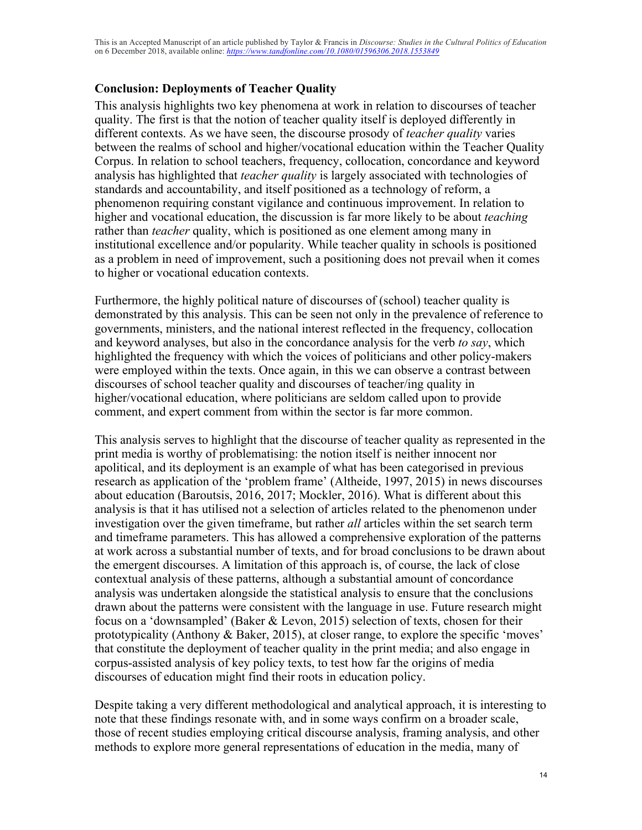# **Conclusion: Deployments of Teacher Quality**

This analysis highlights two key phenomena at work in relation to discourses of teacher quality. The first is that the notion of teacher quality itself is deployed differently in different contexts. As we have seen, the discourse prosody of *teacher quality* varies between the realms of school and higher/vocational education within the Teacher Quality Corpus. In relation to school teachers, frequency, collocation, concordance and keyword analysis has highlighted that *teacher quality* is largely associated with technologies of standards and accountability, and itself positioned as a technology of reform, a phenomenon requiring constant vigilance and continuous improvement. In relation to higher and vocational education, the discussion is far more likely to be about *teaching* rather than *teacher* quality, which is positioned as one element among many in institutional excellence and/or popularity. While teacher quality in schools is positioned as a problem in need of improvement, such a positioning does not prevail when it comes to higher or vocational education contexts.

Furthermore, the highly political nature of discourses of (school) teacher quality is demonstrated by this analysis. This can be seen not only in the prevalence of reference to governments, ministers, and the national interest reflected in the frequency, collocation and keyword analyses, but also in the concordance analysis for the verb *to say*, which highlighted the frequency with which the voices of politicians and other policy-makers were employed within the texts. Once again, in this we can observe a contrast between discourses of school teacher quality and discourses of teacher/ing quality in higher/vocational education, where politicians are seldom called upon to provide comment, and expert comment from within the sector is far more common.

This analysis serves to highlight that the discourse of teacher quality as represented in the print media is worthy of problematising: the notion itself is neither innocent nor apolitical, and its deployment is an example of what has been categorised in previous research as application of the 'problem frame' (Altheide, 1997, 2015) in news discourses about education (Baroutsis, 2016, 2017; Mockler, 2016). What is different about this analysis is that it has utilised not a selection of articles related to the phenomenon under investigation over the given timeframe, but rather *all* articles within the set search term and timeframe parameters. This has allowed a comprehensive exploration of the patterns at work across a substantial number of texts, and for broad conclusions to be drawn about the emergent discourses. A limitation of this approach is, of course, the lack of close contextual analysis of these patterns, although a substantial amount of concordance analysis was undertaken alongside the statistical analysis to ensure that the conclusions drawn about the patterns were consistent with the language in use. Future research might focus on a 'downsampled' (Baker & Levon, 2015) selection of texts, chosen for their prototypicality (Anthony & Baker, 2015), at closer range, to explore the specific 'moves' that constitute the deployment of teacher quality in the print media; and also engage in corpus-assisted analysis of key policy texts, to test how far the origins of media discourses of education might find their roots in education policy.

Despite taking a very different methodological and analytical approach, it is interesting to note that these findings resonate with, and in some ways confirm on a broader scale, those of recent studies employing critical discourse analysis, framing analysis, and other methods to explore more general representations of education in the media, many of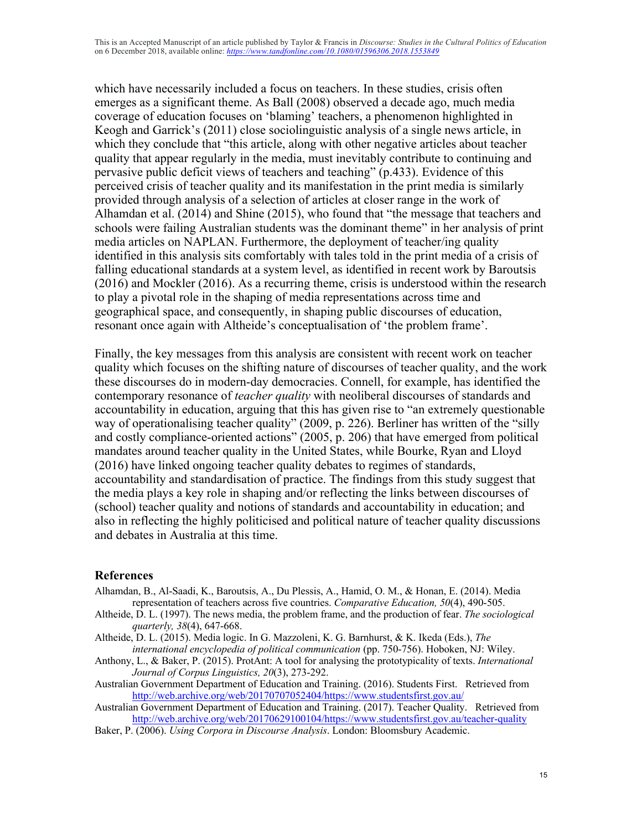which have necessarily included a focus on teachers. In these studies, crisis often emerges as a significant theme. As Ball (2008) observed a decade ago, much media coverage of education focuses on 'blaming' teachers, a phenomenon highlighted in Keogh and Garrick's (2011) close sociolinguistic analysis of a single news article, in which they conclude that "this article, along with other negative articles about teacher quality that appear regularly in the media, must inevitably contribute to continuing and pervasive public deficit views of teachers and teaching" (p.433). Evidence of this perceived crisis of teacher quality and its manifestation in the print media is similarly provided through analysis of a selection of articles at closer range in the work of Alhamdan et al. (2014) and Shine (2015), who found that "the message that teachers and schools were failing Australian students was the dominant theme" in her analysis of print media articles on NAPLAN. Furthermore, the deployment of teacher/ing quality identified in this analysis sits comfortably with tales told in the print media of a crisis of falling educational standards at a system level, as identified in recent work by Baroutsis (2016) and Mockler (2016). As a recurring theme, crisis is understood within the research to play a pivotal role in the shaping of media representations across time and geographical space, and consequently, in shaping public discourses of education, resonant once again with Altheide's conceptualisation of 'the problem frame'.

Finally, the key messages from this analysis are consistent with recent work on teacher quality which focuses on the shifting nature of discourses of teacher quality, and the work these discourses do in modern-day democracies. Connell, for example, has identified the contemporary resonance of *teacher quality* with neoliberal discourses of standards and accountability in education, arguing that this has given rise to "an extremely questionable way of operationalising teacher quality" (2009, p. 226). Berliner has written of the "silly and costly compliance-oriented actions" (2005, p. 206) that have emerged from political mandates around teacher quality in the United States, while Bourke, Ryan and Lloyd (2016) have linked ongoing teacher quality debates to regimes of standards, accountability and standardisation of practice. The findings from this study suggest that the media plays a key role in shaping and/or reflecting the links between discourses of (school) teacher quality and notions of standards and accountability in education; and also in reflecting the highly politicised and political nature of teacher quality discussions and debates in Australia at this time.

### **References**

- Alhamdan, B., Al-Saadi, K., Baroutsis, A., Du Plessis, A., Hamid, O. M., & Honan, E. (2014). Media representation of teachers across five countries. *Comparative Education, 50*(4), 490-505.
- Altheide, D. L. (1997). The news media, the problem frame, and the production of fear. *The sociological quarterly, 38*(4), 647-668.
- Altheide, D. L. (2015). Media logic. In G. Mazzoleni, K. G. Barnhurst, & K. Ikeda (Eds.), *The international encyclopedia of political communication* (pp. 750-756). Hoboken, NJ: Wiley.
- Anthony, L., & Baker, P. (2015). ProtAnt: A tool for analysing the prototypicality of texts. *International Journal of Corpus Linguistics, 20*(3), 273-292.
- Australian Government Department of Education and Training. (2016). Students First. Retrieved from http://web.archive.org/web/20170707052404/https://www.studentsfirst.gov.au/
- Australian Government Department of Education and Training. (2017). Teacher Quality. Retrieved from http://web.archive.org/web/20170629100104/https://www.studentsfirst.gov.au/teacher-quality
- Baker, P. (2006). *Using Corpora in Discourse Analysis*. London: Bloomsbury Academic.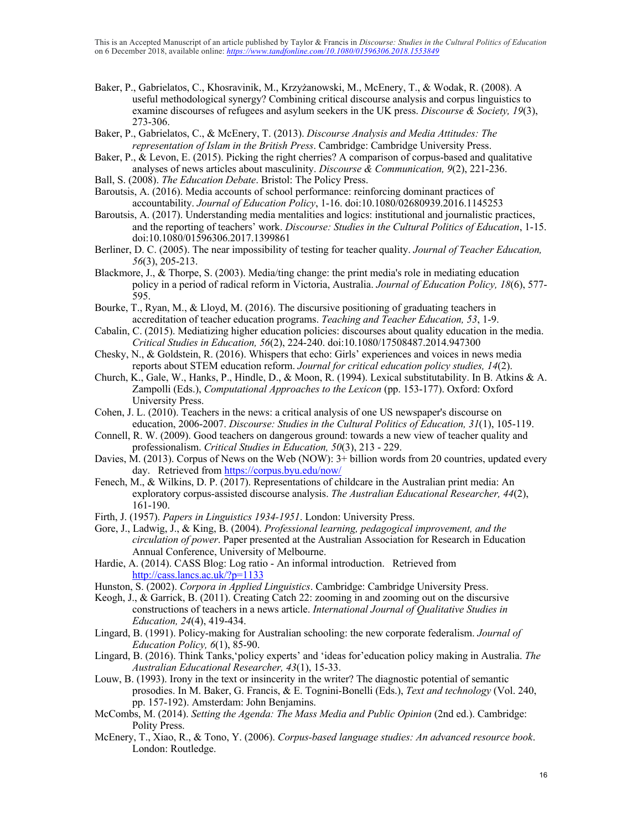- Baker, P., Gabrielatos, C., Khosravinik, M., Krzyżanowski, M., McEnery, T., & Wodak, R. (2008). A useful methodological synergy? Combining critical discourse analysis and corpus linguistics to examine discourses of refugees and asylum seekers in the UK press. *Discourse & Society, 19*(3), 273-306.
- Baker, P., Gabrielatos, C., & McEnery, T. (2013). *Discourse Analysis and Media Attitudes: The representation of Islam in the British Press*. Cambridge: Cambridge University Press.
- Baker, P., & Levon, E. (2015). Picking the right cherries? A comparison of corpus-based and qualitative analyses of news articles about masculinity. *Discourse & Communication, 9*(2), 221-236.
- Ball, S. (2008). *The Education Debate*. Bristol: The Policy Press.
- Baroutsis, A. (2016). Media accounts of school performance: reinforcing dominant practices of accountability. *Journal of Education Policy*, 1-16. doi:10.1080/02680939.2016.1145253
- Baroutsis, A. (2017). Understanding media mentalities and logics: institutional and journalistic practices, and the reporting of teachers' work. *Discourse: Studies in the Cultural Politics of Education*, 1-15. doi:10.1080/01596306.2017.1399861
- Berliner, D. C. (2005). The near impossibility of testing for teacher quality. *Journal of Teacher Education, 56*(3), 205-213.
- Blackmore, J., & Thorpe, S. (2003). Media/ting change: the print media's role in mediating education policy in a period of radical reform in Victoria, Australia. *Journal of Education Policy, 18*(6), 577- 595.
- Bourke, T., Ryan, M., & Lloyd, M. (2016). The discursive positioning of graduating teachers in accreditation of teacher education programs. *Teaching and Teacher Education, 53*, 1-9.
- Cabalin, C. (2015). Mediatizing higher education policies: discourses about quality education in the media. *Critical Studies in Education, 56*(2), 224-240. doi:10.1080/17508487.2014.947300
- Chesky, N., & Goldstein, R. (2016). Whispers that echo: Girls' experiences and voices in news media reports about STEM education reform. *Journal for critical education policy studies, 14*(2).
- Church, K., Gale, W., Hanks, P., Hindle, D., & Moon, R. (1994). Lexical substitutability. In B. Atkins & A. Zampolli (Eds.), *Computational Approaches to the Lexicon* (pp. 153-177). Oxford: Oxford University Press.
- Cohen, J. L. (2010). Teachers in the news: a critical analysis of one US newspaper's discourse on education, 2006-2007. *Discourse: Studies in the Cultural Politics of Education, 31*(1), 105-119.
- Connell, R. W. (2009). Good teachers on dangerous ground: towards a new view of teacher quality and professionalism. *Critical Studies in Education, 50*(3), 213 - 229.
- Davies, M. (2013). Corpus of News on the Web (NOW): 3+ billion words from 20 countries, updated every day. Retrieved from https://corpus.byu.edu/now/
- Fenech, M., & Wilkins, D. P. (2017). Representations of childcare in the Australian print media: An exploratory corpus-assisted discourse analysis. *The Australian Educational Researcher, 44*(2), 161-190.
- Firth, J. (1957). *Papers in Linguistics 1934-1951*. London: University Press.
- Gore, J., Ladwig, J., & King, B. (2004). *Professional learning, pedagogical improvement, and the circulation of power*. Paper presented at the Australian Association for Research in Education Annual Conference, University of Melbourne.
- Hardie, A. (2014). CASS Blog: Log ratio An informal introduction. Retrieved from http://cass.lancs.ac.uk/?p=1133
- Hunston, S. (2002). *Corpora in Applied Linguistics*. Cambridge: Cambridge University Press.
- Keogh, J., & Garrick, B. (2011). Creating Catch 22: zooming in and zooming out on the discursive constructions of teachers in a news article. *International Journal of Qualitative Studies in Education, 24*(4), 419-434.
- Lingard, B. (1991). Policy‐making for Australian schooling: the new corporate federalism. *Journal of Education Policy, 6*(1), 85-90.
- Lingard, B. (2016). Think Tanks,'policy experts' and 'ideas for'education policy making in Australia. *The Australian Educational Researcher, 43*(1), 15-33.
- Louw, B. (1993). Irony in the text or insincerity in the writer? The diagnostic potential of semantic prosodies. In M. Baker, G. Francis, & E. Tognini-Bonelli (Eds.), *Text and technology* (Vol. 240, pp. 157-192). Amsterdam: John Benjamins.
- McCombs, M. (2014). *Setting the Agenda: The Mass Media and Public Opinion* (2nd ed.). Cambridge: Polity Press.
- McEnery, T., Xiao, R., & Tono, Y. (2006). *Corpus-based language studies: An advanced resource book*. London: Routledge.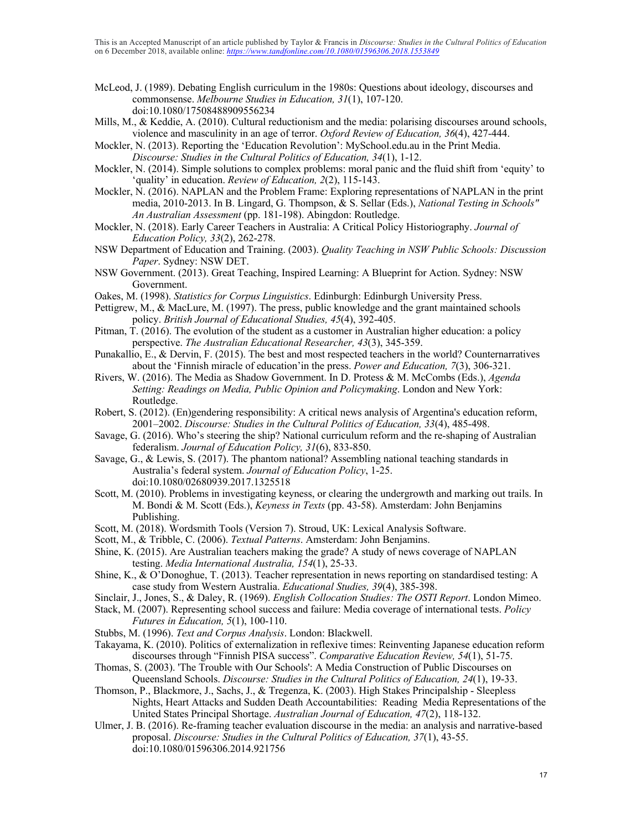- McLeod, J. (1989). Debating English curriculum in the 1980s: Questions about ideology, discourses and commonsense. *Melbourne Studies in Education, 31*(1), 107-120. doi:10.1080/17508488909556234
- Mills, M., & Keddie, A. (2010). Cultural reductionism and the media: polarising discourses around schools, violence and masculinity in an age of terror. *Oxford Review of Education, 36*(4), 427-444.
- Mockler, N. (2013). Reporting the 'Education Revolution': MySchool.edu.au in the Print Media. *Discourse: Studies in the Cultural Politics of Education, 34*(1), 1-12.
- Mockler, N. (2014). Simple solutions to complex problems: moral panic and the fluid shift from 'equity' to 'quality' in education. *Review of Education, 2*(2), 115-143.
- Mockler, N. (2016). NAPLAN and the Problem Frame: Exploring representations of NAPLAN in the print media, 2010-2013. In B. Lingard, G. Thompson, & S. Sellar (Eds.), *National Testing in Schools" An Australian Assessment* (pp. 181-198). Abingdon: Routledge.
- Mockler, N. (2018). Early Career Teachers in Australia: A Critical Policy Historiography. *Journal of Education Policy, 33*(2), 262-278.
- NSW Department of Education and Training. (2003). *Quality Teaching in NSW Public Schools: Discussion Paper*. Sydney: NSW DET.
- NSW Government. (2013). Great Teaching, Inspired Learning: A Blueprint for Action. Sydney: NSW Government.
- Oakes, M. (1998). *Statistics for Corpus Linguistics*. Edinburgh: Edinburgh University Press.
- Pettigrew, M., & MacLure, M. (1997). The press, public knowledge and the grant maintained schools policy. *British Journal of Educational Studies, 45*(4), 392-405.
- Pitman, T. (2016). The evolution of the student as a customer in Australian higher education: a policy perspective. *The Australian Educational Researcher, 43*(3), 345-359.
- Punakallio, E., & Dervin, F. (2015). The best and most respected teachers in the world? Counternarratives about the 'Finnish miracle of education'in the press. *Power and Education, 7*(3), 306-321.
- Rivers, W. (2016). The Media as Shadow Government. In D. Protess & M. McCombs (Eds.), *Agenda Setting: Readings on Media, Public Opinion and Policymaking*. London and New York: Routledge.
- Robert, S. (2012). (En)gendering responsibility: A critical news analysis of Argentina's education reform, 2001–2002. *Discourse: Studies in the Cultural Politics of Education, 33*(4), 485-498.
- Savage, G. (2016). Who's steering the ship? National curriculum reform and the re-shaping of Australian federalism. *Journal of Education Policy, 31*(6), 833-850.
- Savage, G., & Lewis, S. (2017). The phantom national? Assembling national teaching standards in Australia's federal system. *Journal of Education Policy*, 1-25. doi:10.1080/02680939.2017.1325518
- Scott, M. (2010). Problems in investigating keyness, or clearing the undergrowth and marking out trails. In M. Bondi & M. Scott (Eds.), *Keyness in Texts* (pp. 43-58). Amsterdam: John Benjamins Publishing.
- Scott, M. (2018). Wordsmith Tools (Version 7). Stroud, UK: Lexical Analysis Software.
- Scott, M., & Tribble, C. (2006). *Textual Patterns*. Amsterdam: John Benjamins.
- Shine, K. (2015). Are Australian teachers making the grade? A study of news coverage of NAPLAN testing. *Media International Australia, 154*(1), 25-33.
- Shine, K., & O'Donoghue, T. (2013). Teacher representation in news reporting on standardised testing: A case study from Western Australia. *Educational Studies, 39*(4), 385-398.
- Sinclair, J., Jones, S., & Daley, R. (1969). *English Collocation Studies: The OSTI Report*. London Mimeo.
- Stack, M. (2007). Representing school success and failure: Media coverage of international tests. *Policy Futures in Education, 5*(1), 100-110.
- Stubbs, M. (1996). *Text and Corpus Analysis*. London: Blackwell.
- Takayama, K. (2010). Politics of externalization in reflexive times: Reinventing Japanese education reform discourses through "Finnish PISA success". *Comparative Education Review, 54*(1), 51-75.
- Thomas, S. (2003). 'The Trouble with Our Schools': A Media Construction of Public Discourses on Queensland Schools. *Discourse: Studies in the Cultural Politics of Education, 24*(1), 19-33.
- Thomson, P., Blackmore, J., Sachs, J., & Tregenza, K. (2003). High Stakes Principalship Sleepless Nights, Heart Attacks and Sudden Death Accountabilities: Reading Media Representations of the United States Principal Shortage. *Australian Journal of Education, 47*(2), 118-132.
- Ulmer, J. B. (2016). Re-framing teacher evaluation discourse in the media: an analysis and narrative-based proposal. *Discourse: Studies in the Cultural Politics of Education, 37*(1), 43-55. doi:10.1080/01596306.2014.921756